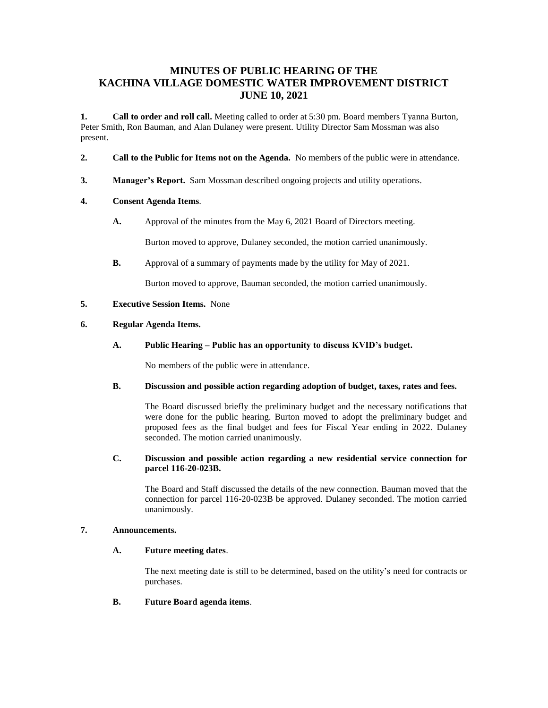## **MINUTES OF PUBLIC HEARING OF THE KACHINA VILLAGE DOMESTIC WATER IMPROVEMENT DISTRICT JUNE 10, 2021**

**1. Call to order and roll call.** Meeting called to order at 5:30 pm. Board members Tyanna Burton, Peter Smith, Ron Bauman, and Alan Dulaney were present. Utility Director Sam Mossman was also present.

- **2. Call to the Public for Items not on the Agenda.** No members of the public were in attendance.
- **3. Manager's Report.** Sam Mossman described ongoing projects and utility operations.

### **4. Consent Agenda Items**.

**A.** Approval of the minutes from the May 6, 2021 Board of Directors meeting.

Burton moved to approve, Dulaney seconded, the motion carried unanimously.

**B.** Approval of a summary of payments made by the utility for May of 2021.

Burton moved to approve, Bauman seconded, the motion carried unanimously.

#### **5. Executive Session Items.** None

## **6. Regular Agenda Items.**

**A. Public Hearing – Public has an opportunity to discuss KVID's budget.**

No members of the public were in attendance.

#### **B. Discussion and possible action regarding adoption of budget, taxes, rates and fees.**

The Board discussed briefly the preliminary budget and the necessary notifications that were done for the public hearing. Burton moved to adopt the preliminary budget and proposed fees as the final budget and fees for Fiscal Year ending in 2022. Dulaney seconded. The motion carried unanimously.

#### **C. Discussion and possible action regarding a new residential service connection for parcel 116-20-023B.**

The Board and Staff discussed the details of the new connection. Bauman moved that the connection for parcel 116-20-023B be approved. Dulaney seconded. The motion carried unanimously.

#### **7. Announcements.**

## **A. Future meeting dates**.

The next meeting date is still to be determined, based on the utility's need for contracts or purchases.

**B. Future Board agenda items**.